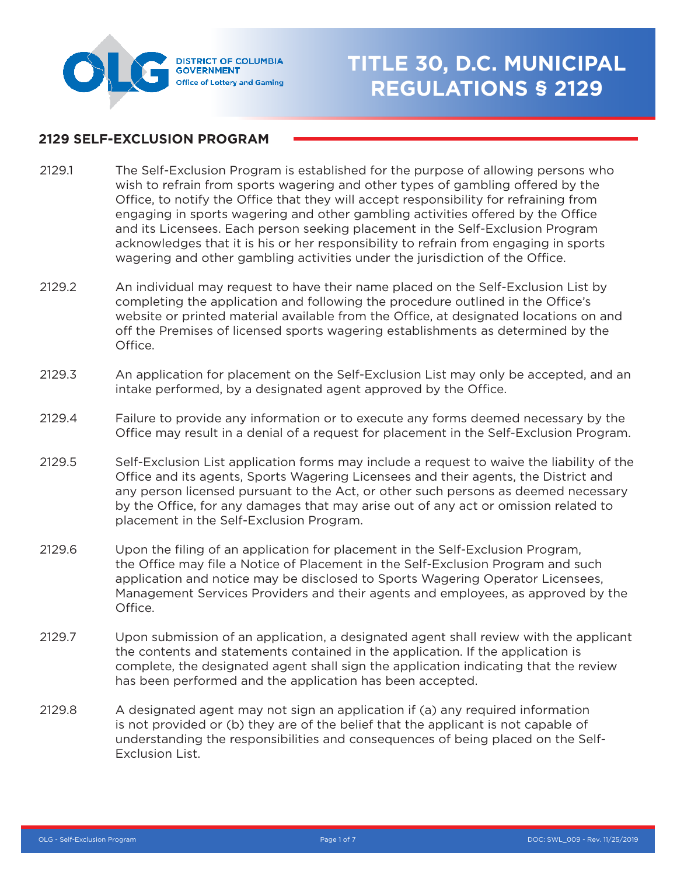

## **TITLE 30, D.C. MUNICIPAL REGULATIONS § 2129**

## **2129 SELF-EXCLUSION PROGRAM**

- The Self-Exclusion Program is established for the purpose of allowing persons who wish to refrain from sports wagering and other types of gambling offered by the Office, to notify the Office that they will accept responsibility for refraining from engaging in sports wagering and other gambling activities offered by the Office and its Licensees. Each person seeking placement in the Self-Exclusion Program acknowledges that it is his or her responsibility to refrain from engaging in sports wagering and other gambling activities under the jurisdiction of the Office. 2129.1
- An individual may request to have their name placed on the Self-Exclusion List by completing the application and following the procedure outlined in the Office's website or printed material available from the Office, at designated locations on and off the Premises of licensed sports wagering establishments as determined by the Office. 2129.2
- An application for placement on the Self-Exclusion List may only be accepted, and an intake performed, by a designated agent approved by the Office. 2129.3
- Failure to provide any information or to execute any forms deemed necessary by the Office may result in a denial of a request for placement in the Self-Exclusion Program. 2129.4
- Self-Exclusion List application forms may include a request to waive the liability of the Office and its agents, Sports Wagering Licensees and their agents, the District and any person licensed pursuant to the Act, or other such persons as deemed necessary by the Office, for any damages that may arise out of any act or omission related to placement in the Self-Exclusion Program. 2129.5
- Upon the filing of an application for placement in the Self-Exclusion Program, the Office may file a Notice of Placement in the Self-Exclusion Program and such application and notice may be disclosed to Sports Wagering Operator Licensees, Management Services Providers and their agents and employees, as approved by the Office. 2129.6
- Upon submission of an application, a designated agent shall review with the applicant the contents and statements contained in the application. If the application is complete, the designated agent shall sign the application indicating that the review has been performed and the application has been accepted. 2129.7
- A designated agent may not sign an application if (a) any required information is not provided or (b) they are of the belief that the applicant is not capable of understanding the responsibilities and consequences of being placed on the Self-Exclusion List. 2129.8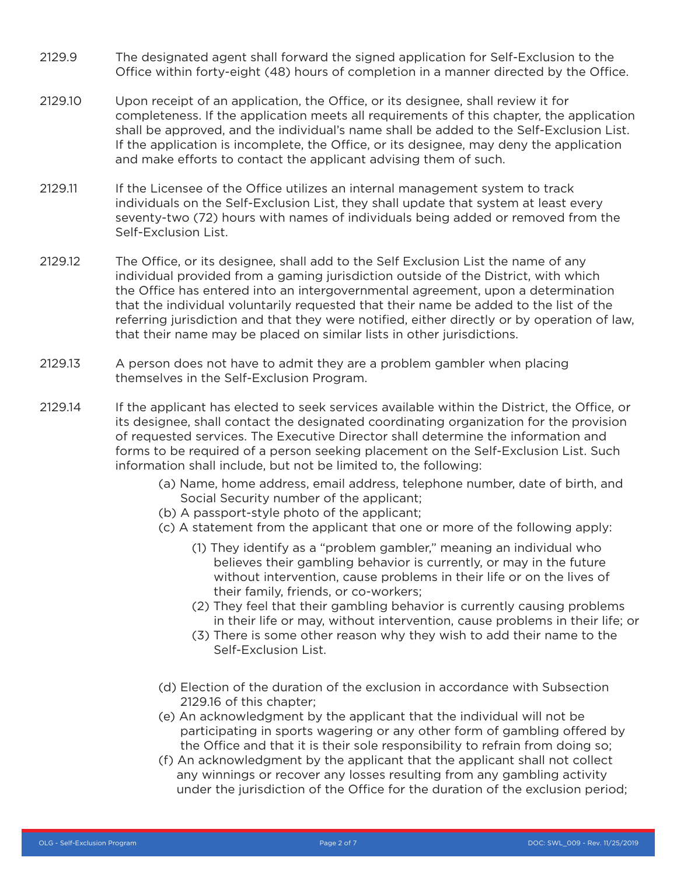- The designated agent shall forward the signed application for Self-Exclusion to the Office within forty-eight (48) hours of completion in a manner directed by the Office. 2129.9
- Upon receipt of an application, the Office, or its designee, shall review it for completeness. If the application meets all requirements of this chapter, the application shall be approved, and the individual's name shall be added to the Self-Exclusion List. If the application is incomplete, the Office, or its designee, may deny the application and make efforts to contact the applicant advising them of such. 2129.10
- If the Licensee of the Office utilizes an internal management system to track individuals on the Self-Exclusion List, they shall update that system at least every seventy-two (72) hours with names of individuals being added or removed from the Self-Exclusion List. 2129.11
- The Office, or its designee, shall add to the Self Exclusion List the name of any individual provided from a gaming jurisdiction outside of the District, with which the Office has entered into an intergovernmental agreement, upon a determination that the individual voluntarily requested that their name be added to the list of the referring jurisdiction and that they were notified, either directly or by operation of law, that their name may be placed on similar lists in other jurisdictions. 2129.12
- A person does not have to admit they are a problem gambler when placing themselves in the Self-Exclusion Program. 2129.13
- If the applicant has elected to seek services available within the District, the Office, or its designee, shall contact the designated coordinating organization for the provision of requested services. The Executive Director shall determine the information and forms to be required of a person seeking placement on the Self-Exclusion List. Such information shall include, but not be limited to, the following: 2129.14
	- (a) Name, home address, email address, telephone number, date of birth, and Social Security number of the applicant;
	- (b) A passport-style photo of the applicant;
	- (c) A statement from the applicant that one or more of the following apply:
		- (1) They identify as a "problem gambler," meaning an individual who believes their gambling behavior is currently, or may in the future without intervention, cause problems in their life or on the lives of their family, friends, or co-workers;
		- (2) They feel that their gambling behavior is currently causing problems in their life or may, without intervention, cause problems in their life; or
		- (3) There is some other reason why they wish to add their name to the Self-Exclusion List.
	- (d) Election of the duration of the exclusion in accordance with Subsection 2129.16 of this chapter;
	- (e) An acknowledgment by the applicant that the individual will not be participating in sports wagering or any other form of gambling offered by the Office and that it is their sole responsibility to refrain from doing so;
	- (f) An acknowledgment by the applicant that the applicant shall not collect any winnings or recover any losses resulting from any gambling activity under the jurisdiction of the Office for the duration of the exclusion period;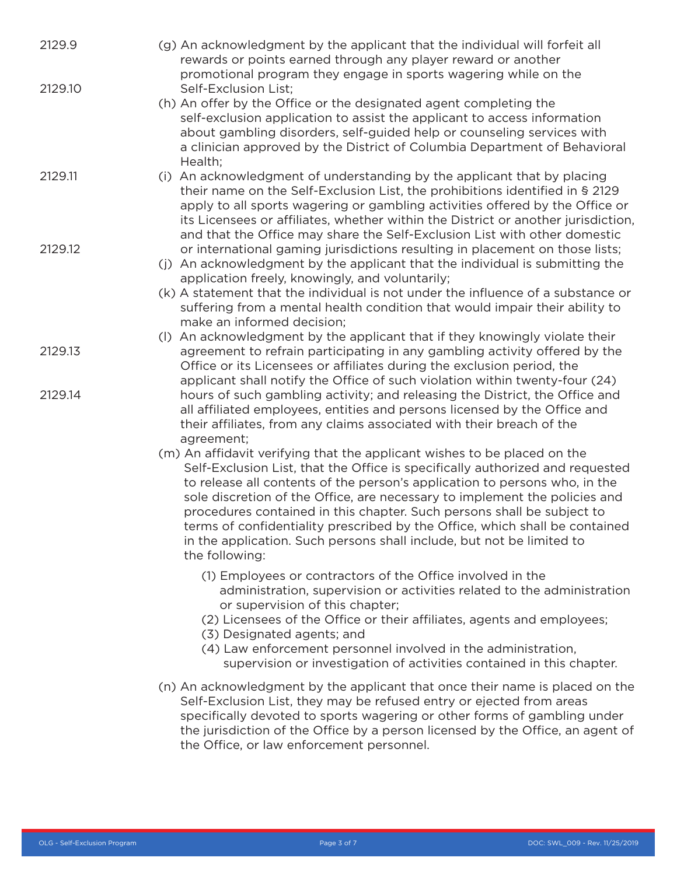| 2129.9  | (g) An acknowledgment by the applicant that the individual will forfeit all<br>rewards or points earned through any player reward or another<br>promotional program they engage in sports wagering while on the                                                                                                                                                                                                                                                                                                                                                           |
|---------|---------------------------------------------------------------------------------------------------------------------------------------------------------------------------------------------------------------------------------------------------------------------------------------------------------------------------------------------------------------------------------------------------------------------------------------------------------------------------------------------------------------------------------------------------------------------------|
| 2129.10 | Self-Exclusion List;<br>(h) An offer by the Office or the designated agent completing the<br>self-exclusion application to assist the applicant to access information<br>about gambling disorders, self-guided help or counseling services with<br>a clinician approved by the District of Columbia Department of Behavioral<br>Health;                                                                                                                                                                                                                                   |
| 2129.11 | (i) An acknowledgment of understanding by the applicant that by placing<br>their name on the Self-Exclusion List, the prohibitions identified in § 2129<br>apply to all sports wagering or gambling activities offered by the Office or<br>its Licensees or affiliates, whether within the District or another jurisdiction,<br>and that the Office may share the Self-Exclusion List with other domestic                                                                                                                                                                 |
| 2129.12 | or international gaming jurisdictions resulting in placement on those lists;<br>(j) An acknowledgment by the applicant that the individual is submitting the<br>application freely, knowingly, and voluntarily;<br>(k) A statement that the individual is not under the influence of a substance or<br>suffering from a mental health condition that would impair their ability to<br>make an informed decision;<br>(I) An acknowledgment by the applicant that if they knowingly violate their                                                                           |
| 2129.13 | agreement to refrain participating in any gambling activity offered by the<br>Office or its Licensees or affiliates during the exclusion period, the<br>applicant shall notify the Office of such violation within twenty-four (24)                                                                                                                                                                                                                                                                                                                                       |
| 2129.14 | hours of such gambling activity; and releasing the District, the Office and<br>all affiliated employees, entities and persons licensed by the Office and<br>their affiliates, from any claims associated with their breach of the<br>agreement;                                                                                                                                                                                                                                                                                                                           |
|         | (m) An affidavit verifying that the applicant wishes to be placed on the<br>Self-Exclusion List, that the Office is specifically authorized and requested<br>to release all contents of the person's application to persons who, in the<br>sole discretion of the Office, are necessary to implement the policies and<br>procedures contained in this chapter. Such persons shall be subject to<br>terms of confidentiality prescribed by the Office, which shall be contained<br>in the application. Such persons shall include, but not be limited to<br>the following: |
|         | (1) Employees or contractors of the Office involved in the<br>administration, supervision or activities related to the administration<br>or supervision of this chapter;<br>(2) Licensees of the Office or their affiliates, agents and employees;<br>(3) Designated agents; and<br>(4) Law enforcement personnel involved in the administration,<br>supervision or investigation of activities contained in this chapter.                                                                                                                                                |
|         | (n) An acknowledgment by the applicant that once their name is placed on the<br>Self-Exclusion List, they may be refused entry or ejected from areas<br>specifically devoted to sports wagering or other forms of gambling under<br>the jurisdiction of the Office by a person licensed by the Office, an agent of<br>the Office, or law enforcement personnel.                                                                                                                                                                                                           |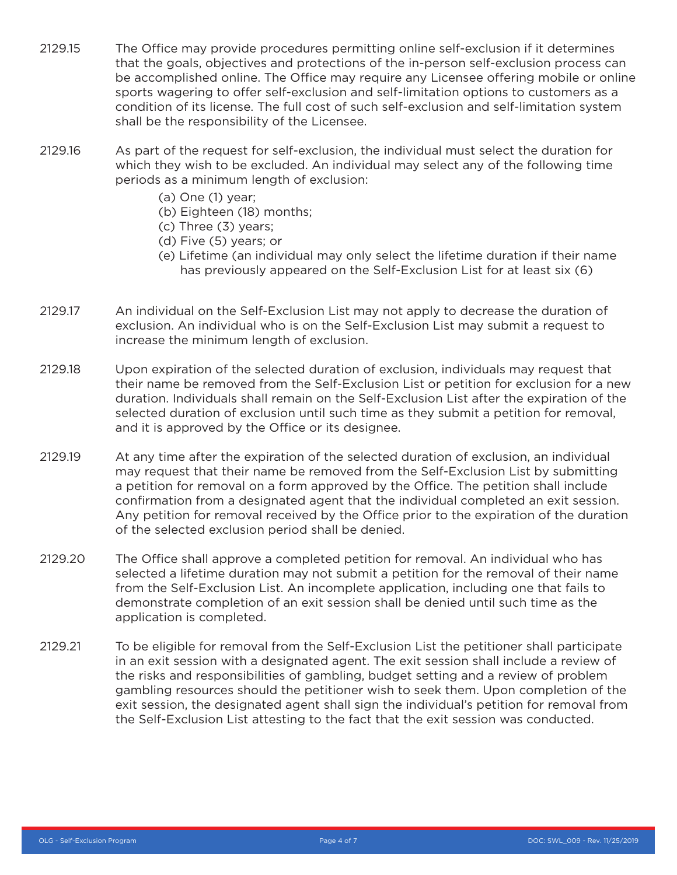- 2129.15 The Office may provide procedures permitting online self-exclusion if it determines that the goals, objectives and protections of the in-person self-exclusion process can be accomplished online. The Office may require any Licensee offering mobile or online sports wagering to offer self-exclusion and self-limitation options to customers as a condition of its license. The full cost of such self-exclusion and self-limitation system shall be the responsibility of the Licensee.
- 2129.16 As part of the request for self-exclusion, the individual must select the duration for which they wish to be excluded. An individual may select any of the following time periods as a minimum length of exclusion:
	- (a) One (1) year;
	- (b) Eighteen (18) months;
	- (c) Three (3) years;
	- (d) Five (5) years; or
	- (e) Lifetime (an individual may only select the lifetime duration if their name has previously appeared on the Self-Exclusion List for at least six (6)
- 2129.17 An individual on the Self-Exclusion List may not apply to decrease the duration of exclusion. An individual who is on the Self-Exclusion List may submit a request to increase the minimum length of exclusion.
- 2129.18 Upon expiration of the selected duration of exclusion, individuals may request that their name be removed from the Self-Exclusion List or petition for exclusion for a new duration. Individuals shall remain on the Self-Exclusion List after the expiration of the selected duration of exclusion until such time as they submit a petition for removal, and it is approved by the Office or its designee.
- 2129.19 At any time after the expiration of the selected duration of exclusion, an individual may request that their name be removed from the Self-Exclusion List by submitting a petition for removal on a form approved by the Office. The petition shall include confirmation from a designated agent that the individual completed an exit session. Any petition for removal received by the Office prior to the expiration of the duration of the selected exclusion period shall be denied.
- 2129.20 The Office shall approve a completed petition for removal. An individual who has selected a lifetime duration may not submit a petition for the removal of their name from the Self-Exclusion List. An incomplete application, including one that fails to demonstrate completion of an exit session shall be denied until such time as the application is completed.
- 2129.21 To be eligible for removal from the Self-Exclusion List the petitioner shall participate in an exit session with a designated agent. The exit session shall include a review of the risks and responsibilities of gambling, budget setting and a review of problem gambling resources should the petitioner wish to seek them. Upon completion of the exit session, the designated agent shall sign the individual's petition for removal from the Self-Exclusion List attesting to the fact that the exit session was conducted.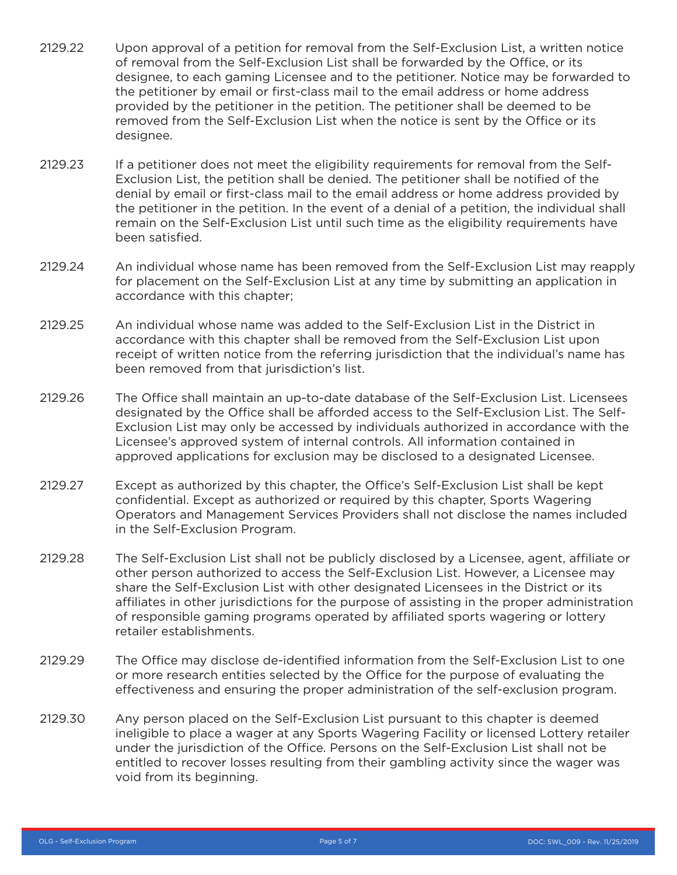- 2129.22 Upon approval of a petition for removal from the Self-Exclusion List, a written notice of removal from the Self-Exclusion List shall be forwarded by the Office, or its designee, to each gaming Licensee and to the petitioner. Notice may be forwarded to the petitioner by email or first-class mail to the email address or home address provided by the petitioner in the petition. The petitioner shall be deemed to be removed from the Self-Exclusion List when the notice is sent by the Office or its designee.
- 2129.23 If a petitioner does not meet the eligibility requirements for removal from the Self-Exclusion List, the petition shall be denied. The petitioner shall be notified of the denial by email or first-class mail to the email address or home address provided by the petitioner in the petition. In the event of a denial of a petition, the individual shall remain on the Self-Exclusion List until such time as the eligibility requirements have been satisfied.
- 2129.24 An individual whose name has been removed from the Self-Exclusion List may reapply for placement on the Self-Exclusion List at any time by submitting an application in accordance with this chapter;
- 2129.25 An individual whose name was added to the Self-Exclusion List in the District in accordance with this chapter shall be removed from the Self-Exclusion List upon receipt of written notice from the referring jurisdiction that the individual's name has been removed from that jurisdiction's list.
- 2129.26 The Office shall maintain an up-to-date database of the Self-Exclusion List. Licensees designated by the Office shall be afforded access to the Self-Exclusion List. The Self-Exclusion List may only be accessed by individuals authorized in accordance with the Licensee's approved system of internal controls. All information contained in approved applications for exclusion may be disclosed to a designated Licensee.
- 2129.27 Except as authorized by this chapter, the Office's Self-Exclusion List shall be kept confidential. Except as authorized or required by this chapter, Sports Wagering Operators and Management Services Providers shall not disclose the names included in the Self-Exclusion Program.
- 2129.28 The Self-Exclusion List shall not be publicly disclosed by a Licensee, agent, affiliate or other person authorized to access the Self-Exclusion List. However, a Licensee may share the Self-Exclusion List with other designated Licensees in the District or its affiliates in other jurisdictions for the purpose of assisting in the proper administration of responsible gaming programs operated by affiliated sports wagering or lottery retailer establishments.
- 2129.29 The Office may disclose de-identified information from the Self-Exclusion List to one or more research entities selected by the Office for the purpose of evaluating the effectiveness and ensuring the proper administration of the self-exclusion program.
- 2129.30 Any person placed on the Self-Exclusion List pursuant to this chapter is deemed ineligible to place a wager at any Sports Wagering Facility or licensed Lottery retailer under the jurisdiction of the Office. Persons on the Self-Exclusion List shall not be entitled to recover losses resulting from their gambling activity since the wager was void from its beginning.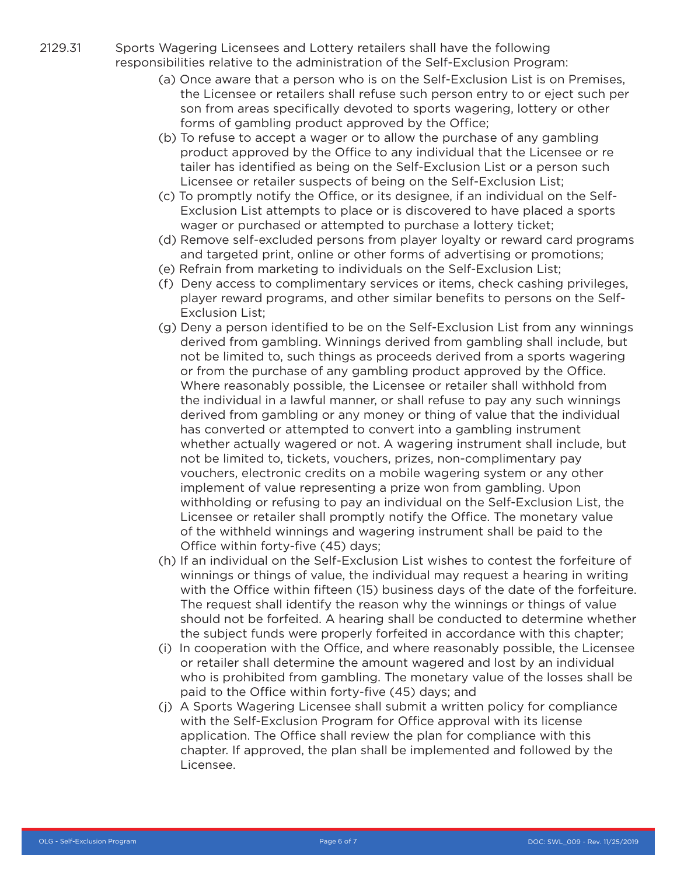- 2129.31 Sports Wagering Licensees and Lottery retailers shall have the following responsibilities relative to the administration of the Self-Exclusion Program:
	- (a) Once aware that a person who is on the Self-Exclusion List is on Premises, the Licensee or retailers shall refuse such person entry to or eject such per son from areas specifically devoted to sports wagering, lottery or other forms of gambling product approved by the Office;
	- (b) To refuse to accept a wager or to allow the purchase of any gambling product approved by the Office to any individual that the Licensee or re tailer has identified as being on the Self-Exclusion List or a person such Licensee or retailer suspects of being on the Self-Exclusion List;
	- (c) To promptly notify the Office, or its designee, if an individual on the Self-Exclusion List attempts to place or is discovered to have placed a sports wager or purchased or attempted to purchase a lottery ticket;
	- (d) Remove self-excluded persons from player loyalty or reward card programs and targeted print, online or other forms of advertising or promotions;
	- (e) Refrain from marketing to individuals on the Self-Exclusion List;
	- (f) Deny access to complimentary services or items, check cashing privileges, player reward programs, and other similar benefits to persons on the Self-Exclusion List;
	- (g) Deny a person identified to be on the Self-Exclusion List from any winnings derived from gambling. Winnings derived from gambling shall include, but not be limited to, such things as proceeds derived from a sports wagering or from the purchase of any gambling product approved by the Office. Where reasonably possible, the Licensee or retailer shall withhold from the individual in a lawful manner, or shall refuse to pay any such winnings derived from gambling or any money or thing of value that the individual has converted or attempted to convert into a gambling instrument whether actually wagered or not. A wagering instrument shall include, but not be limited to, tickets, vouchers, prizes, non-complimentary pay vouchers, electronic credits on a mobile wagering system or any other implement of value representing a prize won from gambling. Upon withholding or refusing to pay an individual on the Self-Exclusion List, the Licensee or retailer shall promptly notify the Office. The monetary value of the withheld winnings and wagering instrument shall be paid to the Office within forty-five (45) days;
	- (h) If an individual on the Self-Exclusion List wishes to contest the forfeiture of winnings or things of value, the individual may request a hearing in writing with the Office within fifteen (15) business days of the date of the forfeiture. The request shall identify the reason why the winnings or things of value should not be forfeited. A hearing shall be conducted to determine whether the subject funds were properly forfeited in accordance with this chapter;
	- (i) In cooperation with the Office, and where reasonably possible, the Licensee or retailer shall determine the amount wagered and lost by an individual who is prohibited from gambling. The monetary value of the losses shall be paid to the Office within forty-five (45) days; and
	- (j) A Sports Wagering Licensee shall submit a written policy for compliance with the Self-Exclusion Program for Office approval with its license application. The Office shall review the plan for compliance with this chapter. If approved, the plan shall be implemented and followed by the Licensee.